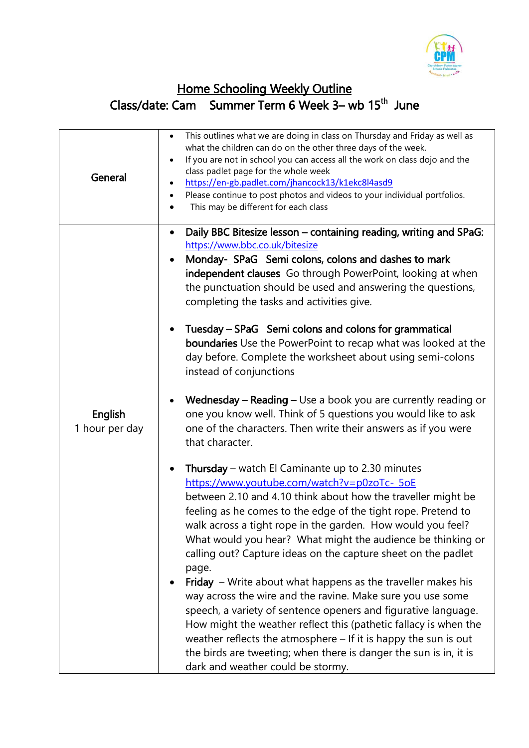

## Home Schooling Weekly Outline Class/date: Cam Summer Term 6 Week 3– wb 15<sup>th</sup> June

| General                   | This outlines what we are doing in class on Thursday and Friday as well as<br>$\bullet$<br>what the children can do on the other three days of the week.<br>If you are not in school you can access all the work on class dojo and the<br>class padlet page for the whole week<br>https://en-gb.padlet.com/jhancock13/k1ekc8l4asd9<br>Please continue to post photos and videos to your individual portfolios.<br>$\bullet$<br>This may be different for each class |
|---------------------------|---------------------------------------------------------------------------------------------------------------------------------------------------------------------------------------------------------------------------------------------------------------------------------------------------------------------------------------------------------------------------------------------------------------------------------------------------------------------|
|                           | Daily BBC Bitesize lesson - containing reading, writing and SPaG:<br>$\bullet$<br>https://www.bbc.co.uk/bitesize<br>Monday-_SPaG Semi colons, colons and dashes to mark<br>$\bullet$<br>independent clauses Go through PowerPoint, looking at when<br>the punctuation should be used and answering the questions,<br>completing the tasks and activities give.<br>Tuesday – SPaG Semi colons and colons for grammatical                                             |
| English<br>1 hour per day | boundaries Use the PowerPoint to recap what was looked at the<br>day before. Complete the worksheet about using semi-colons<br>instead of conjunctions<br>Wednesday - Reading - Use a book you are currently reading or                                                                                                                                                                                                                                             |
|                           | one you know well. Think of 5 questions you would like to ask<br>one of the characters. Then write their answers as if you were<br>that character.                                                                                                                                                                                                                                                                                                                  |
|                           | Thursday – watch El Caminante up to 2.30 minutes<br>$\bullet$<br>https://www.youtube.com/watch?v=p0zoTc-_5oE<br>between 2.10 and 4.10 think about how the traveller might be<br>feeling as he comes to the edge of the tight rope. Pretend to<br>walk across a tight rope in the garden. How would you feel?<br>What would you hear? What might the audience be thinking or<br>calling out? Capture ideas on the capture sheet on the padlet<br>page.               |
|                           | Friday - Write about what happens as the traveller makes his<br>way across the wire and the ravine. Make sure you use some<br>speech, a variety of sentence openers and figurative language.<br>How might the weather reflect this (pathetic fallacy is when the<br>weather reflects the atmosphere $-$ If it is happy the sun is out<br>the birds are tweeting; when there is danger the sun is in, it is<br>dark and weather could be stormy.                     |